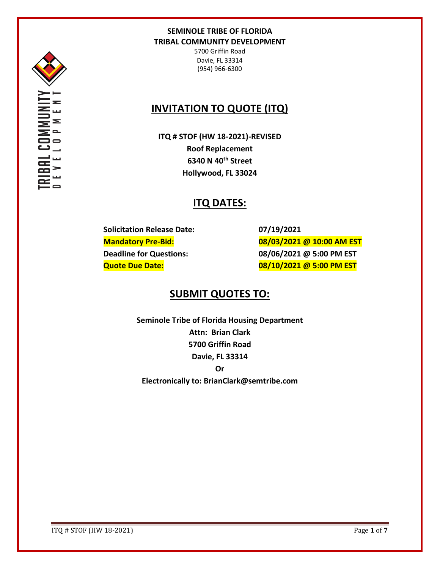

5700 Griffin Road Davie, FL 33314 (954) 966-6300

## **INVITATION TO QUOTE (ITQ)**

**ITQ # STOF (HW 18-2021)-REVISED Roof Replacement 6340 N 40th Street Hollywood, FL 33024**

## **ITQ DATES:**

**Solicitation Release Date: 07/19/2021**

**Mandatory Pre-Bid: 08/03/2021 @ 10:00 AM EST Deadline for Questions: 08/06/2021 @ 5:00 PM EST Quote Due Date: 08/10/2021 @ 5:00 PM EST**

## **SUBMIT QUOTES TO:**

**Seminole Tribe of Florida Housing Department Attn: Brian Clark 5700 Griffin Road Davie, FL 33314 Or Electronically to: BrianClark@semtribe.com** 

ITQ # STOF (HW 18-2021) Page **1** of **7**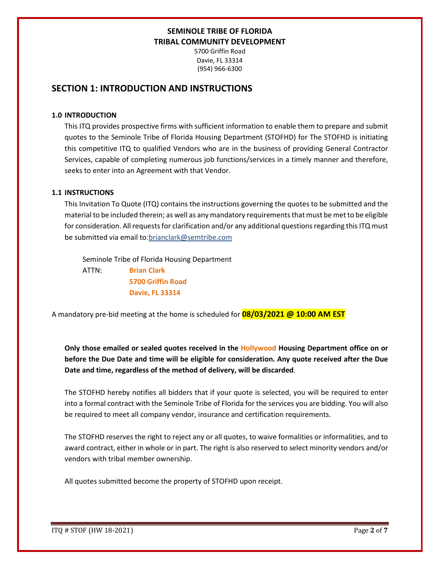5700 Griffin Road Davie, FL 33314 (954) 966-6300

## **SECTION 1: INTRODUCTION AND INSTRUCTIONS**

#### **1.0 INTRODUCTION**

This ITQ provides prospective firms with sufficient information to enable them to prepare and submit quotes to the Seminole Tribe of Florida Housing Department (STOFHD) for The STOFHD is initiating this competitive ITQ to qualified Vendors who are in the business of providing General Contractor Services, capable of completing numerous job functions/services in a timely manner and therefore, seeks to enter into an Agreement with that Vendor.

#### **1.1 INSTRUCTIONS**

This Invitation To Quote (ITQ) contains the instructions governing the quotes to be submitted and the material to be included therein; as well as any mandatory requirements that must be met to be eligible for consideration. All requests for clarification and/or any additional questions regarding this ITQ must be submitted via email to:brianclark@semtribe.com

Seminole Tribe of Florida Housing Department

 ATTN: **Brian Clark 5700 Griffin Road Davie, FL 33314**

A mandatory pre-bid meeting at the home is scheduled for **08/03/2021 @ 10:00 AM EST**

**Only those emailed or sealed quotes received in the Hollywood Housing Department office on or before the Due Date and time will be eligible for consideration. Any quote received after the Due Date and time, regardless of the method of delivery, will be discarded**.

The STOFHD hereby notifies all bidders that if your quote is selected, you will be required to enter into a formal contract with the Seminole Tribe of Florida for the services you are bidding. You will also be required to meet all company vendor, insurance and certification requirements.

The STOFHD reserves the right to reject any or all quotes, to waive formalities or informalities, and to award contract, either in whole or in part. The right is also reserved to select minority vendors and/or vendors with tribal member ownership.

All quotes submitted become the property of STOFHD upon receipt.

ITQ # STOF (HW 18-2021) Page **2** of **7**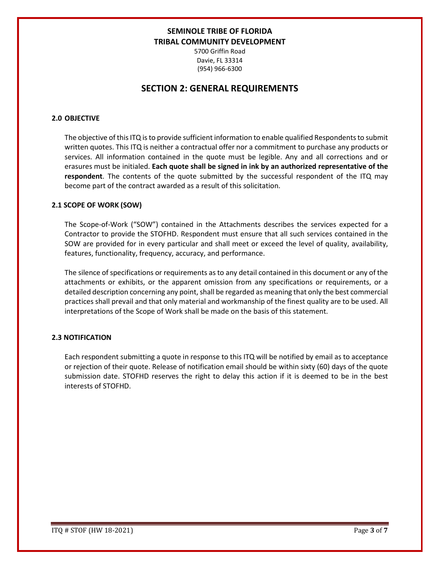5700 Griffin Road Davie, FL 33314 (954) 966-6300

## **SECTION 2: GENERAL REQUIREMENTS**

### **2.0 OBJECTIVE**

The objective of this ITQ is to provide sufficient information to enable qualified Respondents to submit written quotes. This ITQ is neither a contractual offer nor a commitment to purchase any products or services. All information contained in the quote must be legible. Any and all corrections and or erasures must be initialed. **Each quote shall be signed in ink by an authorized representative of the respondent**. The contents of the quote submitted by the successful respondent of the ITQ may become part of the contract awarded as a result of this solicitation.

#### **2.1 SCOPE OF WORK (SOW)**

The Scope-of-Work ("SOW") contained in the Attachments describes the services expected for a Contractor to provide the STOFHD. Respondent must ensure that all such services contained in the SOW are provided for in every particular and shall meet or exceed the level of quality, availability, features, functionality, frequency, accuracy, and performance.

The silence of specifications or requirements as to any detail contained in this document or any of the attachments or exhibits, or the apparent omission from any specifications or requirements, or a detailed description concerning any point, shall be regarded as meaning that only the best commercial practices shall prevail and that only material and workmanship of the finest quality are to be used. All interpretations of the Scope of Work shall be made on the basis of this statement.

### **2.3 NOTIFICATION**

Each respondent submitting a quote in response to this ITQ will be notified by email as to acceptance or rejection of their quote. Release of notification email should be within sixty (60) days of the quote submission date. STOFHD reserves the right to delay this action if it is deemed to be in the best interests of STOFHD.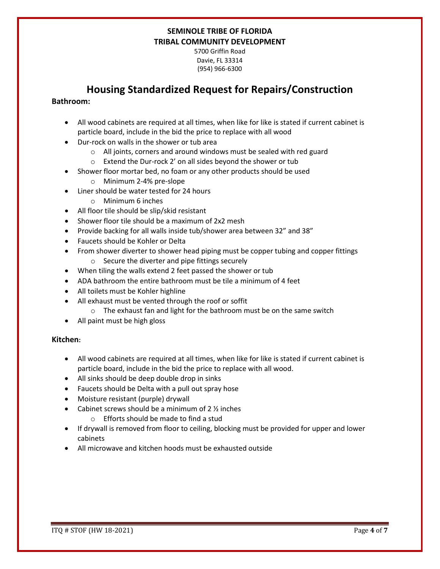5700 Griffin Road Davie, FL 33314 (954) 966-6300

## **Housing Standardized Request for Repairs/Construction**

### **Bathroom:**

- All wood cabinets are required at all times, when like for like is stated if current cabinet is particle board, include in the bid the price to replace with all wood
- Dur-rock on walls in the shower or tub area
	- o All joints, corners and around windows must be sealed with red guard
	- o Extend the Dur-rock 2' on all sides beyond the shower or tub
- Shower floor mortar bed, no foam or any other products should be used
	- o Minimum 2-4% pre-slope
- Liner should be water tested for 24 hours
	- o Minimum 6 inches
- All floor tile should be slip/skid resistant
- Shower floor tile should be a maximum of 2x2 mesh
- Provide backing for all walls inside tub/shower area between 32" and 38"
- Faucets should be Kohler or Delta
- From shower diverter to shower head piping must be copper tubing and copper fittings o Secure the diverter and pipe fittings securely
- When tiling the walls extend 2 feet passed the shower or tub
- ADA bathroom the entire bathroom must be tile a minimum of 4 feet
- All toilets must be Kohler highline
- All exhaust must be vented through the roof or soffit
	- o The exhaust fan and light for the bathroom must be on the same switch
- All paint must be high gloss

### **Kitchen:**

- All wood cabinets are required at all times, when like for like is stated if current cabinet is particle board, include in the bid the price to replace with all wood.
- All sinks should be deep double drop in sinks
- Faucets should be Delta with a pull out spray hose
- Moisture resistant (purple) drywall
- Cabinet screws should be a minimum of  $2\frac{1}{2}$  inches
	- o Efforts should be made to find a stud
- If drywall is removed from floor to ceiling, blocking must be provided for upper and lower cabinets
- All microwave and kitchen hoods must be exhausted outside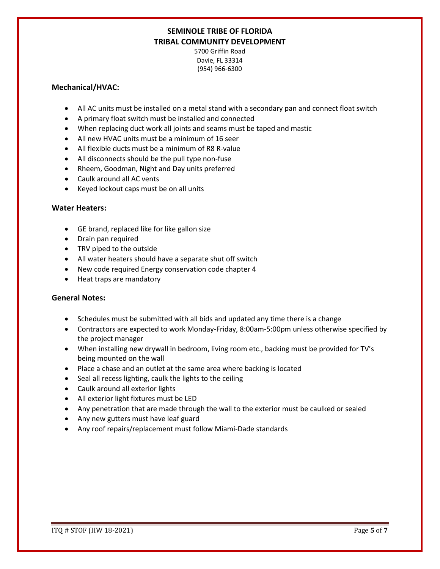5700 Griffin Road Davie, FL 33314 (954) 966-6300

### **Mechanical/HVAC:**

- All AC units must be installed on a metal stand with a secondary pan and connect float switch
- A primary float switch must be installed and connected
- When replacing duct work all joints and seams must be taped and mastic
- All new HVAC units must be a minimum of 16 seer
- All flexible ducts must be a minimum of R8 R-value
- All disconnects should be the pull type non-fuse
- Rheem, Goodman, Night and Day units preferred
- Caulk around all AC vents
- Keyed lockout caps must be on all units

### **Water Heaters:**

- GE brand, replaced like for like gallon size
- Drain pan required
- TRV piped to the outside
- All water heaters should have a separate shut off switch
- New code required Energy conservation code chapter 4
- Heat traps are mandatory

### **General Notes:**

- Schedules must be submitted with all bids and updated any time there is a change
- Contractors are expected to work Monday-Friday, 8:00am-5:00pm unless otherwise specified by the project manager
- When installing new drywall in bedroom, living room etc., backing must be provided for TV's being mounted on the wall
- Place a chase and an outlet at the same area where backing is located
- Seal all recess lighting, caulk the lights to the ceiling
- Caulk around all exterior lights
- All exterior light fixtures must be LED
- Any penetration that are made through the wall to the exterior must be caulked or sealed
- Any new gutters must have leaf guard
- Any roof repairs/replacement must follow Miami-Dade standards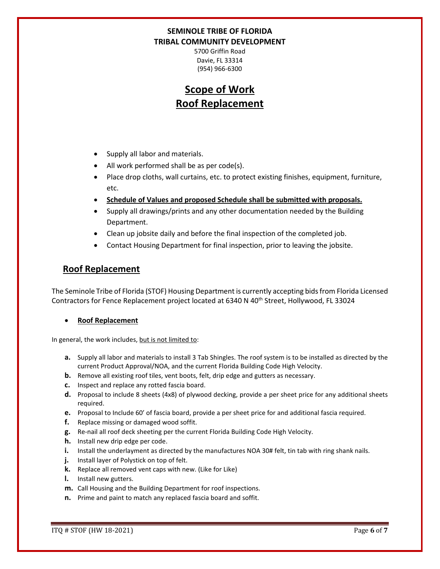5700 Griffin Road Davie, FL 33314 (954) 966-6300

# **Scope of Work Roof Replacement**

- Supply all labor and materials.
- All work performed shall be as per code(s).
- Place drop cloths, wall curtains, etc. to protect existing finishes, equipment, furniture, etc.
- **Schedule of Values and proposed Schedule shall be submitted with proposals.**
- Supply all drawings/prints and any other documentation needed by the Building Department.
- Clean up jobsite daily and before the final inspection of the completed job.
- Contact Housing Department for final inspection, prior to leaving the jobsite.

## **Roof Replacement**

The Seminole Tribe of Florida (STOF) Housing Department is currently accepting bids from Florida Licensed Contractors for Fence Replacement project located at 6340 N 40<sup>th</sup> Street, Hollywood, FL 33024

### • **Roof Replacement**

In general, the work includes, but is not limited to:

- **a.** Supply all labor and materials to install 3 Tab Shingles. The roof system is to be installed as directed by the current Product Approval/NOA, and the current Florida Building Code High Velocity.
- **b.** Remove all existing roof tiles, vent boots, felt, drip edge and gutters as necessary.
- **c.** Inspect and replace any rotted fascia board.
- **d.** Proposal to include 8 sheets (4x8) of plywood decking, provide a per sheet price for any additional sheets required.
- **e.** Proposal to Include 60' of fascia board, provide a per sheet price for and additional fascia required.
- **f.** Replace missing or damaged wood soffit.
- **g.** Re-nail all roof deck sheeting per the current Florida Building Code High Velocity.
- **h.** Install new drip edge per code.
- **i.** Install the underlayment as directed by the manufactures NOA 30# felt, tin tab with ring shank nails.
- **j.** Install layer of Polystick on top of felt.
- **k.** Replace all removed vent caps with new. (Like for Like)
- **l.** Install new gutters.
- **m.** Call Housing and the Building Department for roof inspections.
- **n.** Prime and paint to match any replaced fascia board and soffit.

ITQ # STOF (HW 18-2021) Page **6** of **7**